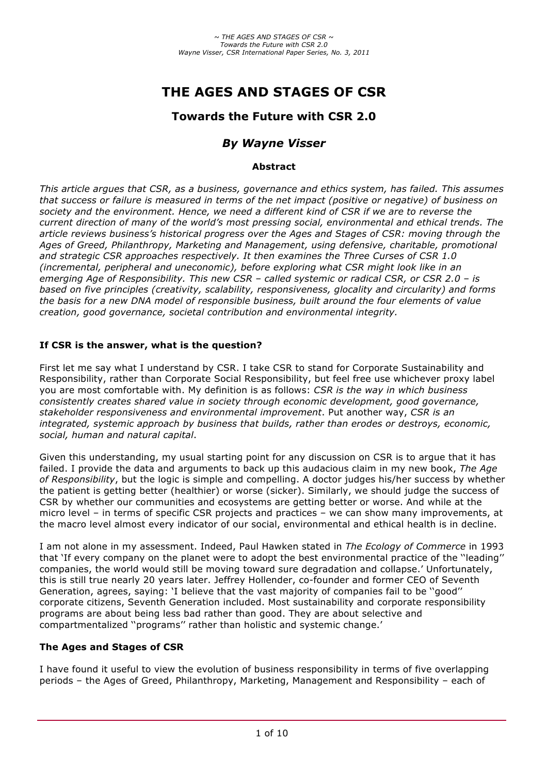# **THE AGES AND STAGES OF CSR**

# **Towards the Future with CSR 2.0**

# *By Wayne Visser*

#### **Abstract**

*This article argues that CSR, as a business, governance and ethics system, has failed. This assumes that success or failure is measured in terms of the net impact (positive or negative) of business on society and the environment. Hence, we need a different kind of CSR if we are to reverse the current direction of many of the world's most pressing social, environmental and ethical trends. The article reviews business's historical progress over the Ages and Stages of CSR: moving through the Ages of Greed, Philanthropy, Marketing and Management, using defensive, charitable, promotional and strategic CSR approaches respectively. It then examines the Three Curses of CSR 1.0 (incremental, peripheral and uneconomic), before exploring what CSR might look like in an emerging Age of Responsibility. This new CSR – called systemic or radical CSR, or CSR 2.0 – is based on five principles (creativity, scalability, responsiveness, glocality and circularity) and forms the basis for a new DNA model of responsible business, built around the four elements of value creation, good governance, societal contribution and environmental integrity.*

#### **If CSR is the answer, what is the question?**

First let me say what I understand by CSR. I take CSR to stand for Corporate Sustainability and Responsibility, rather than Corporate Social Responsibility, but feel free use whichever proxy label you are most comfortable with. My definition is as follows: *CSR is the way in which business consistently creates shared value in society through economic development, good governance, stakeholder responsiveness and environmental improvement*. Put another way, *CSR is an integrated, systemic approach by business that builds, rather than erodes or destroys, economic, social, human and natural capital*.

Given this understanding, my usual starting point for any discussion on CSR is to argue that it has failed. I provide the data and arguments to back up this audacious claim in my new book, *The Age of Responsibility*, but the logic is simple and compelling. A doctor judges his/her success by whether the patient is getting better (healthier) or worse (sicker). Similarly, we should judge the success of CSR by whether our communities and ecosystems are getting better or worse. And while at the micro level – in terms of specific CSR projects and practices – we can show many improvements, at the macro level almost every indicator of our social, environmental and ethical health is in decline.

I am not alone in my assessment. Indeed, Paul Hawken stated in *The Ecology of Commerce* in 1993 that 'If every company on the planet were to adopt the best environmental practice of the ''leading'' companies, the world would still be moving toward sure degradation and collapse.' Unfortunately, this is still true nearly 20 years later. Jeffrey Hollender, co-founder and former CEO of Seventh Generation, agrees, saying: 'I believe that the vast majority of companies fail to be ''good'' corporate citizens, Seventh Generation included. Most sustainability and corporate responsibility programs are about being less bad rather than good. They are about selective and compartmentalized ''programs'' rather than holistic and systemic change.'

#### **The Ages and Stages of CSR**

I have found it useful to view the evolution of business responsibility in terms of five overlapping periods – the Ages of Greed, Philanthropy, Marketing, Management and Responsibility – each of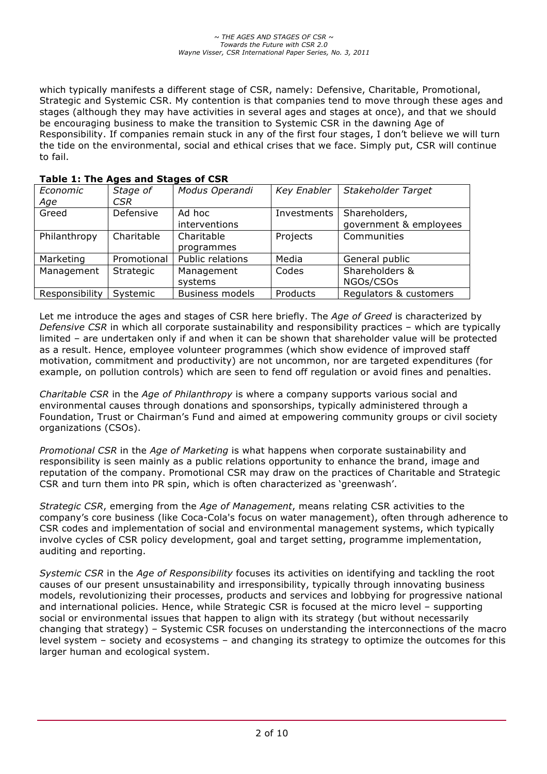which typically manifests a different stage of CSR, namely: Defensive, Charitable, Promotional, Strategic and Systemic CSR. My contention is that companies tend to move through these ages and stages (although they may have activities in several ages and stages at once), and that we should be encouraging business to make the transition to Systemic CSR in the dawning Age of Responsibility. If companies remain stuck in any of the first four stages, I don't believe we will turn the tide on the environmental, social and ethical crises that we face. Simply put, CSR will continue to fail.

| Economic<br>Age | Stage of<br>CSR | Modus Operandi           | <b>Key Enabler</b> | Stakeholder Target                      |
|-----------------|-----------------|--------------------------|--------------------|-----------------------------------------|
| Greed           | Defensive       | Ad hoc<br>interventions  | Investments        | Shareholders,<br>government & employees |
| Philanthropy    | Charitable      | Charitable<br>programmes | Projects           | Communities                             |
| Marketing       | Promotional     | Public relations         | Media              | General public                          |
| Management      | Strategic       | Management<br>systems    | Codes              | Shareholders &<br>NGOs/CSOs             |
| Responsibility  | Systemic        | <b>Business models</b>   | Products           | Requlators & customers                  |

#### **Table 1: The Ages and Stages of CSR**

Let me introduce the ages and stages of CSR here briefly. The *Age of Greed* is characterized by *Defensive CSR* in which all corporate sustainability and responsibility practices – which are typically limited – are undertaken only if and when it can be shown that shareholder value will be protected as a result. Hence, employee volunteer programmes (which show evidence of improved staff motivation, commitment and productivity) are not uncommon, nor are targeted expenditures (for example, on pollution controls) which are seen to fend off regulation or avoid fines and penalties.

*Charitable CSR* in the *Age of Philanthropy* is where a company supports various social and environmental causes through donations and sponsorships, typically administered through a Foundation, Trust or Chairman's Fund and aimed at empowering community groups or civil society organizations (CSOs).

*Promotional CSR* in the *Age of Marketing* is what happens when corporate sustainability and responsibility is seen mainly as a public relations opportunity to enhance the brand, image and reputation of the company. Promotional CSR may draw on the practices of Charitable and Strategic CSR and turn them into PR spin, which is often characterized as 'greenwash'.

*Strategic CSR*, emerging from the *Age of Management*, means relating CSR activities to the company's core business (like Coca-Cola's focus on water management), often through adherence to CSR codes and implementation of social and environmental management systems, which typically involve cycles of CSR policy development, goal and target setting, programme implementation, auditing and reporting.

*Systemic CSR* in the *Age of Responsibility* focuses its activities on identifying and tackling the root causes of our present unsustainability and irresponsibility, typically through innovating business models, revolutionizing their processes, products and services and lobbying for progressive national and international policies. Hence, while Strategic CSR is focused at the micro level – supporting social or environmental issues that happen to align with its strategy (but without necessarily changing that strategy) – Systemic CSR focuses on understanding the interconnections of the macro level system – society and ecosystems – and changing its strategy to optimize the outcomes for this larger human and ecological system.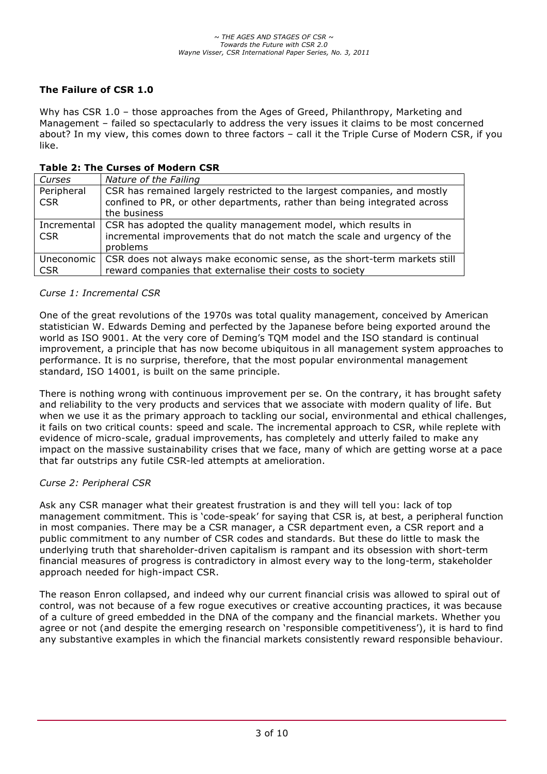# **The Failure of CSR 1.0**

Why has CSR 1.0 – those approaches from the Ages of Greed, Philanthropy, Marketing and Management – failed so spectacularly to address the very issues it claims to be most concerned about? In my view, this comes down to three factors – call it the Triple Curse of Modern CSR, if you like.

#### **Table 2: The Curses of Modern CSR**

| Curses                   | Nature of the Failing                                                                                                                                                 |
|--------------------------|-----------------------------------------------------------------------------------------------------------------------------------------------------------------------|
| Peripheral<br><b>CSR</b> | CSR has remained largely restricted to the largest companies, and mostly<br>confined to PR, or other departments, rather than being integrated across<br>the business |
| <b>CSR</b>               | Incremental   CSR has adopted the quality management model, which results in<br>incremental improvements that do not match the scale and urgency of the<br>problems   |
| Uneconomic<br><b>CSR</b> | CSR does not always make economic sense, as the short-term markets still<br>reward companies that externalise their costs to society                                  |

#### *Curse 1: Incremental CSR*

One of the great revolutions of the 1970s was total quality management, conceived by American statistician W. Edwards Deming and perfected by the Japanese before being exported around the world as ISO 9001. At the very core of Deming's TQM model and the ISO standard is continual improvement, a principle that has now become ubiquitous in all management system approaches to performance. It is no surprise, therefore, that the most popular environmental management standard, ISO 14001, is built on the same principle.

There is nothing wrong with continuous improvement per se. On the contrary, it has brought safety and reliability to the very products and services that we associate with modern quality of life. But when we use it as the primary approach to tackling our social, environmental and ethical challenges, it fails on two critical counts: speed and scale. The incremental approach to CSR, while replete with evidence of micro-scale, gradual improvements, has completely and utterly failed to make any impact on the massive sustainability crises that we face, many of which are getting worse at a pace that far outstrips any futile CSR-led attempts at amelioration.

#### *Curse 2: Peripheral CSR*

Ask any CSR manager what their greatest frustration is and they will tell you: lack of top management commitment. This is 'code-speak' for saying that CSR is, at best, a peripheral function in most companies. There may be a CSR manager, a CSR department even, a CSR report and a public commitment to any number of CSR codes and standards. But these do little to mask the underlying truth that shareholder-driven capitalism is rampant and its obsession with short-term financial measures of progress is contradictory in almost every way to the long-term, stakeholder approach needed for high-impact CSR.

The reason Enron collapsed, and indeed why our current financial crisis was allowed to spiral out of control, was not because of a few rogue executives or creative accounting practices, it was because of a culture of greed embedded in the DNA of the company and the financial markets. Whether you agree or not (and despite the emerging research on 'responsible competitiveness'), it is hard to find any substantive examples in which the financial markets consistently reward responsible behaviour.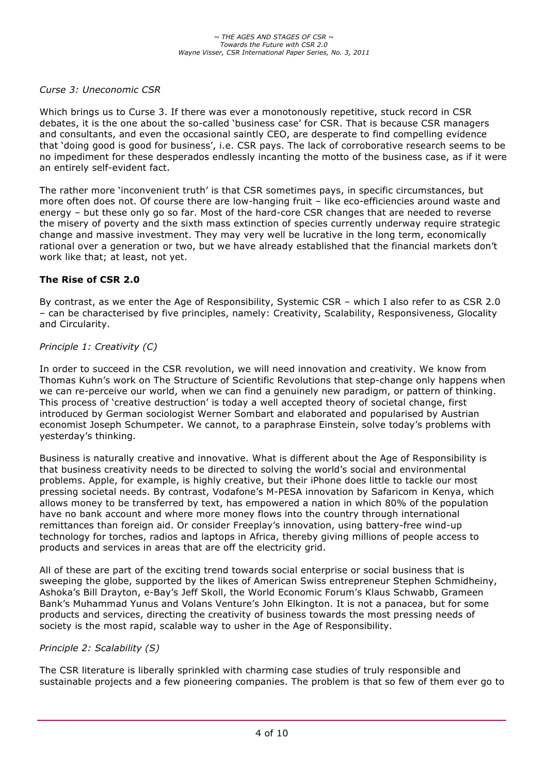#### *Curse 3: Uneconomic CSR*

Which brings us to Curse 3. If there was ever a monotonously repetitive, stuck record in CSR debates, it is the one about the so-called 'business case' for CSR. That is because CSR managers and consultants, and even the occasional saintly CEO, are desperate to find compelling evidence that 'doing good is good for business', i.e. CSR pays. The lack of corroborative research seems to be no impediment for these desperados endlessly incanting the motto of the business case, as if it were an entirely self-evident fact.

The rather more 'inconvenient truth' is that CSR sometimes pays, in specific circumstances, but more often does not. Of course there are low-hanging fruit – like eco-efficiencies around waste and energy – but these only go so far. Most of the hard-core CSR changes that are needed to reverse the misery of poverty and the sixth mass extinction of species currently underway require strategic change and massive investment. They may very well be lucrative in the long term, economically rational over a generation or two, but we have already established that the financial markets don't work like that; at least, not yet.

#### **The Rise of CSR 2.0**

By contrast, as we enter the Age of Responsibility, Systemic CSR – which I also refer to as CSR 2.0 – can be characterised by five principles, namely: Creativity, Scalability, Responsiveness, Glocality and Circularity.

#### *Principle 1: Creativity (C)*

In order to succeed in the CSR revolution, we will need innovation and creativity. We know from Thomas Kuhn's work on The Structure of Scientific Revolutions that step-change only happens when we can re-perceive our world, when we can find a genuinely new paradigm, or pattern of thinking. This process of 'creative destruction' is today a well accepted theory of societal change, first introduced by German sociologist Werner Sombart and elaborated and popularised by Austrian economist Joseph Schumpeter. We cannot, to a paraphrase Einstein, solve today's problems with yesterday's thinking.

Business is naturally creative and innovative. What is different about the Age of Responsibility is that business creativity needs to be directed to solving the world's social and environmental problems. Apple, for example, is highly creative, but their iPhone does little to tackle our most pressing societal needs. By contrast, Vodafone's M-PESA innovation by Safaricom in Kenya, which allows money to be transferred by text, has empowered a nation in which 80% of the population have no bank account and where more money flows into the country through international remittances than foreign aid. Or consider Freeplay's innovation, using battery-free wind-up technology for torches, radios and laptops in Africa, thereby giving millions of people access to products and services in areas that are off the electricity grid.

All of these are part of the exciting trend towards social enterprise or social business that is sweeping the globe, supported by the likes of American Swiss entrepreneur Stephen Schmidheiny, Ashoka's Bill Drayton, e-Bay's Jeff Skoll, the World Economic Forum's Klaus Schwabb, Grameen Bank's Muhammad Yunus and Volans Venture's John Elkington. It is not a panacea, but for some products and services, directing the creativity of business towards the most pressing needs of society is the most rapid, scalable way to usher in the Age of Responsibility.

#### *Principle 2: Scalability (S)*

The CSR literature is liberally sprinkled with charming case studies of truly responsible and sustainable projects and a few pioneering companies. The problem is that so few of them ever go to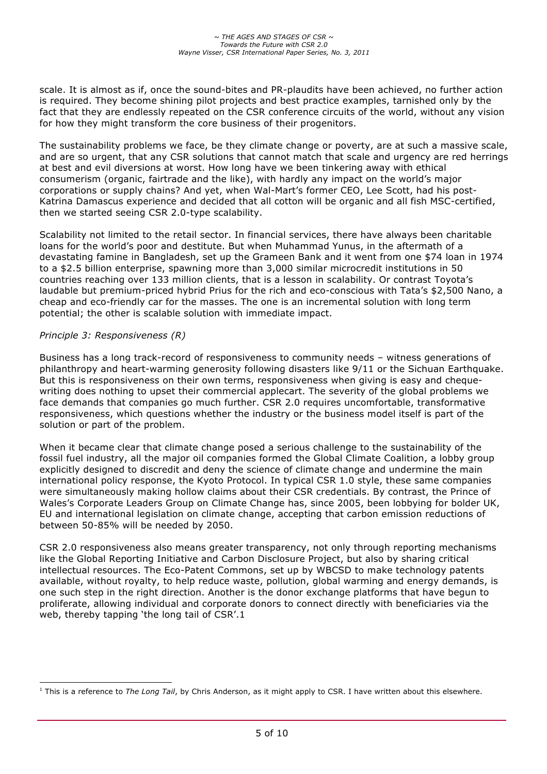scale. It is almost as if, once the sound-bites and PR-plaudits have been achieved, no further action is required. They become shining pilot projects and best practice examples, tarnished only by the fact that they are endlessly repeated on the CSR conference circuits of the world, without any vision for how they might transform the core business of their progenitors.

The sustainability problems we face, be they climate change or poverty, are at such a massive scale, and are so urgent, that any CSR solutions that cannot match that scale and urgency are red herrings at best and evil diversions at worst. How long have we been tinkering away with ethical consumerism (organic, fairtrade and the like), with hardly any impact on the world's major corporations or supply chains? And yet, when Wal-Mart's former CEO, Lee Scott, had his post-Katrina Damascus experience and decided that all cotton will be organic and all fish MSC-certified, then we started seeing CSR 2.0-type scalability.

Scalability not limited to the retail sector. In financial services, there have always been charitable loans for the world's poor and destitute. But when Muhammad Yunus, in the aftermath of a devastating famine in Bangladesh, set up the Grameen Bank and it went from one \$74 loan in 1974 to a \$2.5 billion enterprise, spawning more than 3,000 similar microcredit institutions in 50 countries reaching over 133 million clients, that is a lesson in scalability. Or contrast Toyota's laudable but premium-priced hybrid Prius for the rich and eco-conscious with Tata's \$2,500 Nano, a cheap and eco-friendly car for the masses. The one is an incremental solution with long term potential; the other is scalable solution with immediate impact.

#### *Principle 3: Responsiveness (R)*

Business has a long track-record of responsiveness to community needs – witness generations of philanthropy and heart-warming generosity following disasters like 9/11 or the Sichuan Earthquake. But this is responsiveness on their own terms, responsiveness when giving is easy and chequewriting does nothing to upset their commercial applecart. The severity of the global problems we face demands that companies go much further. CSR 2.0 requires uncomfortable, transformative responsiveness, which questions whether the industry or the business model itself is part of the solution or part of the problem.

When it became clear that climate change posed a serious challenge to the sustainability of the fossil fuel industry, all the major oil companies formed the Global Climate Coalition, a lobby group explicitly designed to discredit and deny the science of climate change and undermine the main international policy response, the Kyoto Protocol. In typical CSR 1.0 style, these same companies were simultaneously making hollow claims about their CSR credentials. By contrast, the Prince of Wales's Corporate Leaders Group on Climate Change has, since 2005, been lobbying for bolder UK, EU and international legislation on climate change, accepting that carbon emission reductions of between 50-85% will be needed by 2050.

CSR 2.0 responsiveness also means greater transparency, not only through reporting mechanisms like the Global Reporting Initiative and Carbon Disclosure Project, but also by sharing critical intellectual resources. The Eco-Patent Commons, set up by WBCSD to make technology patents available, without royalty, to help reduce waste, pollution, global warming and energy demands, is one such step in the right direction. Another is the donor exchange platforms that have begun to proliferate, allowing individual and corporate donors to connect directly with beneficiaries via the web, thereby tapping 'the long tail of CSR'.1

 $\overline{a}$ <sup>1</sup> This is a reference to *The Long Tail*, by Chris Anderson, as it might apply to CSR. I have written about this elsewhere.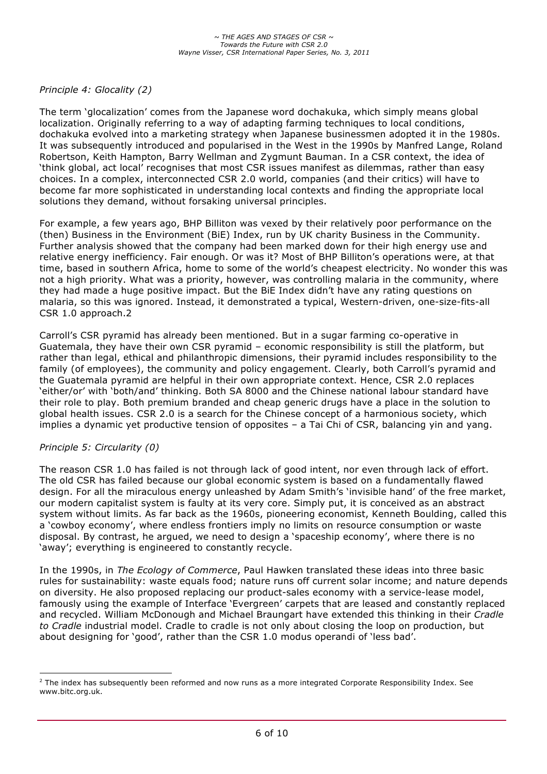# *Principle 4: Glocality (2)*

The term 'glocalization' comes from the Japanese word dochakuka, which simply means global localization. Originally referring to a way of adapting farming techniques to local conditions, dochakuka evolved into a marketing strategy when Japanese businessmen adopted it in the 1980s. It was subsequently introduced and popularised in the West in the 1990s by Manfred Lange, Roland Robertson, Keith Hampton, Barry Wellman and Zygmunt Bauman. In a CSR context, the idea of 'think global, act local' recognises that most CSR issues manifest as dilemmas, rather than easy choices. In a complex, interconnected CSR 2.0 world, companies (and their critics) will have to become far more sophisticated in understanding local contexts and finding the appropriate local solutions they demand, without forsaking universal principles.

For example, a few years ago, BHP Billiton was vexed by their relatively poor performance on the (then) Business in the Environment (BiE) Index, run by UK charity Business in the Community. Further analysis showed that the company had been marked down for their high energy use and relative energy inefficiency. Fair enough. Or was it? Most of BHP Billiton's operations were, at that time, based in southern Africa, home to some of the world's cheapest electricity. No wonder this was not a high priority. What was a priority, however, was controlling malaria in the community, where they had made a huge positive impact. But the BiE Index didn't have any rating questions on malaria, so this was ignored. Instead, it demonstrated a typical, Western-driven, one-size-fits-all CSR 1.0 approach.2

Carroll's CSR pyramid has already been mentioned. But in a sugar farming co-operative in Guatemala, they have their own CSR pyramid – economic responsibility is still the platform, but rather than legal, ethical and philanthropic dimensions, their pyramid includes responsibility to the family (of employees), the community and policy engagement. Clearly, both Carroll's pyramid and the Guatemala pyramid are helpful in their own appropriate context. Hence, CSR 2.0 replaces 'either/or' with 'both/and' thinking. Both SA 8000 and the Chinese national labour standard have their role to play. Both premium branded and cheap generic drugs have a place in the solution to global health issues. CSR 2.0 is a search for the Chinese concept of a harmonious society, which implies a dynamic yet productive tension of opposites – a Tai Chi of CSR, balancing yin and yang.

## *Principle 5: Circularity (0)*

The reason CSR 1.0 has failed is not through lack of good intent, nor even through lack of effort. The old CSR has failed because our global economic system is based on a fundamentally flawed design. For all the miraculous energy unleashed by Adam Smith's 'invisible hand' of the free market, our modern capitalist system is faulty at its very core. Simply put, it is conceived as an abstract system without limits. As far back as the 1960s, pioneering economist, Kenneth Boulding, called this a 'cowboy economy', where endless frontiers imply no limits on resource consumption or waste disposal. By contrast, he argued, we need to design a 'spaceship economy', where there is no 'away'; everything is engineered to constantly recycle.

In the 1990s, in *The Ecology of Commerce*, Paul Hawken translated these ideas into three basic rules for sustainability: waste equals food; nature runs off current solar income; and nature depends on diversity. He also proposed replacing our product-sales economy with a service-lease model, famously using the example of Interface 'Evergreen' carpets that are leased and constantly replaced and recycled. William McDonough and Michael Braungart have extended this thinking in their *Cradle to Cradle* industrial model. Cradle to cradle is not only about closing the loop on production, but about designing for 'good', rather than the CSR 1.0 modus operandi of 'less bad'.

 $\overline{a}$  $<sup>2</sup>$  The index has subsequently been reformed and now runs as a more integrated Corporate Responsibility Index. See</sup> www.bitc.org.uk.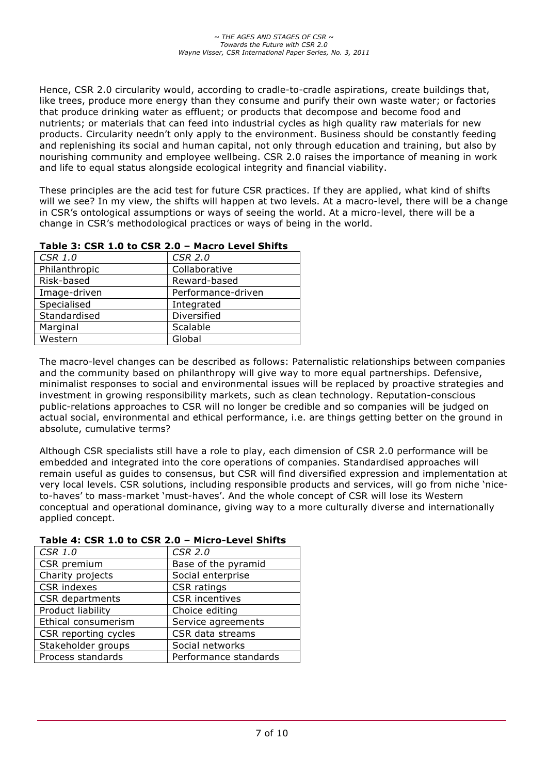Hence, CSR 2.0 circularity would, according to cradle-to-cradle aspirations, create buildings that, like trees, produce more energy than they consume and purify their own waste water; or factories that produce drinking water as effluent; or products that decompose and become food and nutrients; or materials that can feed into industrial cycles as high quality raw materials for new products. Circularity needn't only apply to the environment. Business should be constantly feeding and replenishing its social and human capital, not only through education and training, but also by nourishing community and employee wellbeing. CSR 2.0 raises the importance of meaning in work and life to equal status alongside ecological integrity and financial viability.

These principles are the acid test for future CSR practices. If they are applied, what kind of shifts will we see? In my view, the shifts will happen at two levels. At a macro-level, there will be a change in CSR's ontological assumptions or ways of seeing the world. At a micro-level, there will be a change in CSR's methodological practices or ways of being in the world.

| Table 5: CSR 1.0 to CSR 2.0 - Macro Level Shifts |                    |  |  |
|--------------------------------------------------|--------------------|--|--|
| <b>CSR 1.0</b>                                   | <b>CSR 2.0</b>     |  |  |
| Philanthropic                                    | Collaborative      |  |  |
| Risk-based                                       | Reward-based       |  |  |
| Image-driven                                     | Performance-driven |  |  |
| Specialised                                      | Integrated         |  |  |
| Standardised                                     | Diversified        |  |  |
| Marginal                                         | Scalable           |  |  |
| Western                                          | Global             |  |  |
|                                                  |                    |  |  |

## **Table 3: CSR 1.0 to CSR 2.0 – Macro Level Shifts**

The macro-level changes can be described as follows: Paternalistic relationships between companies and the community based on philanthropy will give way to more equal partnerships. Defensive, minimalist responses to social and environmental issues will be replaced by proactive strategies and investment in growing responsibility markets, such as clean technology. Reputation-conscious public-relations approaches to CSR will no longer be credible and so companies will be judged on actual social, environmental and ethical performance, i.e. are things getting better on the ground in absolute, cumulative terms?

Although CSR specialists still have a role to play, each dimension of CSR 2.0 performance will be embedded and integrated into the core operations of companies. Standardised approaches will remain useful as guides to consensus, but CSR will find diversified expression and implementation at very local levels. CSR solutions, including responsible products and services, will go from niche 'niceto-haves' to mass-market 'must-haves'. And the whole concept of CSR will lose its Western conceptual and operational dominance, giving way to a more culturally diverse and internationally applied concept.

| <b>CSR 1.0</b>       | <b>CSR 2.0</b>        |
|----------------------|-----------------------|
| CSR premium          | Base of the pyramid   |
| Charity projects     | Social enterprise     |
| CSR indexes          | CSR ratings           |
| CSR departments      | <b>CSR</b> incentives |
| Product liability    | Choice editing        |
| Ethical consumerism  | Service agreements    |
| CSR reporting cycles | CSR data streams      |
| Stakeholder groups   | Social networks       |
| Process standards    | Performance standards |

#### **Table 4: CSR 1.0 to CSR 2.0 – Micro-Level Shifts**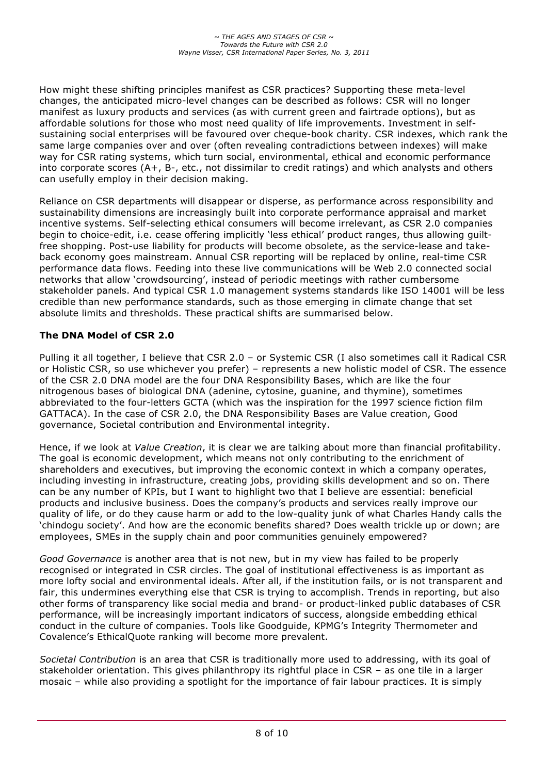How might these shifting principles manifest as CSR practices? Supporting these meta-level changes, the anticipated micro-level changes can be described as follows: CSR will no longer manifest as luxury products and services (as with current green and fairtrade options), but as affordable solutions for those who most need quality of life improvements. Investment in selfsustaining social enterprises will be favoured over cheque-book charity. CSR indexes, which rank the same large companies over and over (often revealing contradictions between indexes) will make way for CSR rating systems, which turn social, environmental, ethical and economic performance into corporate scores (A+, B-, etc., not dissimilar to credit ratings) and which analysts and others can usefully employ in their decision making.

Reliance on CSR departments will disappear or disperse, as performance across responsibility and sustainability dimensions are increasingly built into corporate performance appraisal and market incentive systems. Self-selecting ethical consumers will become irrelevant, as CSR 2.0 companies begin to choice-edit, i.e. cease offering implicitly 'less ethical' product ranges, thus allowing guiltfree shopping. Post-use liability for products will become obsolete, as the service-lease and takeback economy goes mainstream. Annual CSR reporting will be replaced by online, real-time CSR performance data flows. Feeding into these live communications will be Web 2.0 connected social networks that allow 'crowdsourcing', instead of periodic meetings with rather cumbersome stakeholder panels. And typical CSR 1.0 management systems standards like ISO 14001 will be less credible than new performance standards, such as those emerging in climate change that set absolute limits and thresholds. These practical shifts are summarised below.

## **The DNA Model of CSR 2.0**

Pulling it all together, I believe that CSR 2.0 – or Systemic CSR (I also sometimes call it Radical CSR or Holistic CSR, so use whichever you prefer) – represents a new holistic model of CSR. The essence of the CSR 2.0 DNA model are the four DNA Responsibility Bases, which are like the four nitrogenous bases of biological DNA (adenine, cytosine, guanine, and thymine), sometimes abbreviated to the four-letters GCTA (which was the inspiration for the 1997 science fiction film GATTACA). In the case of CSR 2.0, the DNA Responsibility Bases are Value creation, Good governance, Societal contribution and Environmental integrity.

Hence, if we look at *Value Creation*, it is clear we are talking about more than financial profitability. The goal is economic development, which means not only contributing to the enrichment of shareholders and executives, but improving the economic context in which a company operates, including investing in infrastructure, creating jobs, providing skills development and so on. There can be any number of KPIs, but I want to highlight two that I believe are essential: beneficial products and inclusive business. Does the company's products and services really improve our quality of life, or do they cause harm or add to the low-quality junk of what Charles Handy calls the 'chindogu society'. And how are the economic benefits shared? Does wealth trickle up or down; are employees, SMEs in the supply chain and poor communities genuinely empowered?

*Good Governance* is another area that is not new, but in my view has failed to be properly recognised or integrated in CSR circles. The goal of institutional effectiveness is as important as more lofty social and environmental ideals. After all, if the institution fails, or is not transparent and fair, this undermines everything else that CSR is trying to accomplish. Trends in reporting, but also other forms of transparency like social media and brand- or product-linked public databases of CSR performance, will be increasingly important indicators of success, alongside embedding ethical conduct in the culture of companies. Tools like Goodguide, KPMG's Integrity Thermometer and Covalence's EthicalQuote ranking will become more prevalent.

*Societal Contribution* is an area that CSR is traditionally more used to addressing, with its goal of stakeholder orientation. This gives philanthropy its rightful place in CSR – as one tile in a larger mosaic – while also providing a spotlight for the importance of fair labour practices. It is simply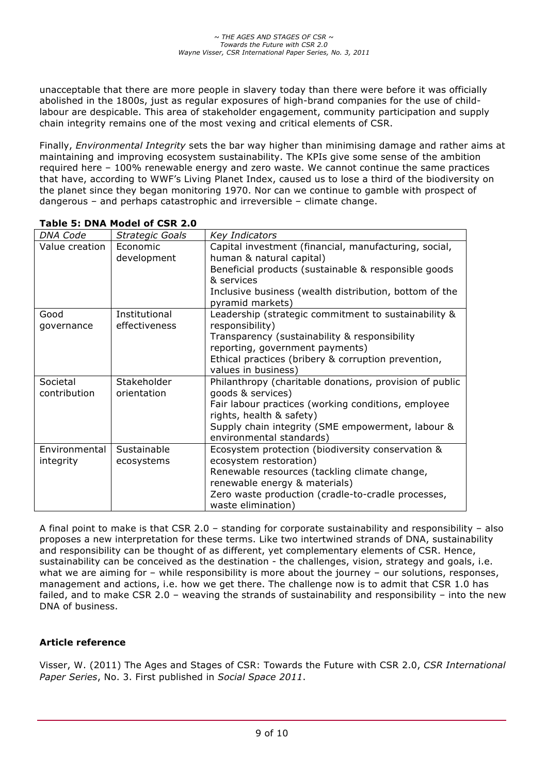unacceptable that there are more people in slavery today than there were before it was officially abolished in the 1800s, just as regular exposures of high-brand companies for the use of childlabour are despicable. This area of stakeholder engagement, community participation and supply chain integrity remains one of the most vexing and critical elements of CSR.

Finally, *Environmental Integrity* sets the bar way higher than minimising damage and rather aims at maintaining and improving ecosystem sustainability. The KPIs give some sense of the ambition required here – 100% renewable energy and zero waste. We cannot continue the same practices that have, according to WWF's Living Planet Index, caused us to lose a third of the biodiversity on the planet since they began monitoring 1970. Nor can we continue to gamble with prospect of dangerous – and perhaps catastrophic and irreversible – climate change.

| <b>DNA Code</b>            | <b>Strategic Goals</b>         | <b>Key Indicators</b>                                                                                                                                                                                                                            |
|----------------------------|--------------------------------|--------------------------------------------------------------------------------------------------------------------------------------------------------------------------------------------------------------------------------------------------|
| Value creation             | Economic<br>development        | Capital investment (financial, manufacturing, social,<br>human & natural capital)<br>Beneficial products (sustainable & responsible goods<br>& services<br>Inclusive business (wealth distribution, bottom of the<br>pyramid markets)            |
| Good<br>governance         | Institutional<br>effectiveness | Leadership (strategic commitment to sustainability &<br>responsibility)<br>Transparency (sustainability & responsibility<br>reporting, government payments)<br>Ethical practices (bribery & corruption prevention,<br>values in business)        |
| Societal<br>contribution   | Stakeholder<br>orientation     | Philanthropy (charitable donations, provision of public<br>goods & services)<br>Fair labour practices (working conditions, employee<br>rights, health & safety)<br>Supply chain integrity (SME empowerment, labour &<br>environmental standards) |
| Environmental<br>integrity | Sustainable<br>ecosystems      | Ecosystem protection (biodiversity conservation &<br>ecosystem restoration)<br>Renewable resources (tackling climate change,<br>renewable energy & materials)<br>Zero waste production (cradle-to-cradle processes,<br>waste elimination)        |

# **Table 5: DNA Model of CSR 2.0**

A final point to make is that CSR 2.0 – standing for corporate sustainability and responsibility – also proposes a new interpretation for these terms. Like two intertwined strands of DNA, sustainability and responsibility can be thought of as different, yet complementary elements of CSR. Hence, sustainability can be conceived as the destination - the challenges, vision, strategy and goals, i.e. what we are aiming for – while responsibility is more about the journey – our solutions, responses, management and actions, i.e. how we get there. The challenge now is to admit that CSR 1.0 has failed, and to make CSR 2.0 - weaving the strands of sustainability and responsibility - into the new DNA of business.

# **Article reference**

Visser, W. (2011) The Ages and Stages of CSR: Towards the Future with CSR 2.0, *CSR International Paper Series*, No. 3. First published in *Social Space 2011*.